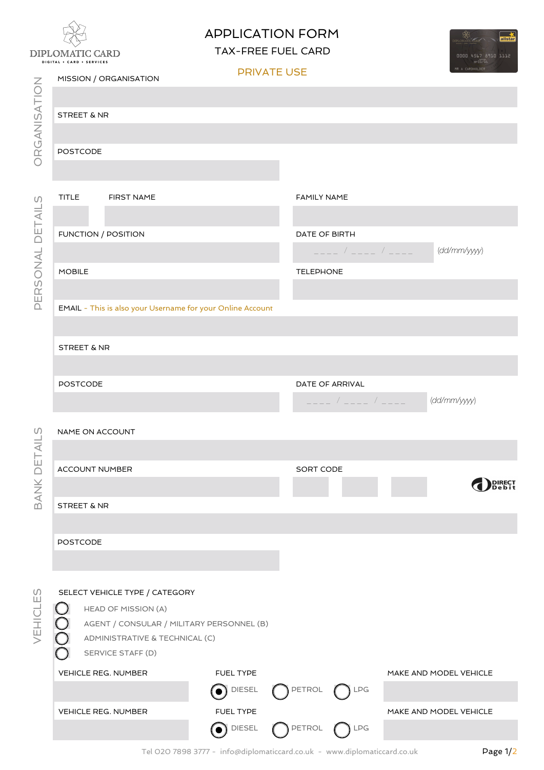## **DIPLOMATIC**  $CAND$

## APPLICATION FORM TAX-FREE FUEL CARD



|                                            | DIF LVIVIAI IU UAND<br>DIGITAL . CARD . SERVICES |                                                            |                    |                    |                                                                                                                                                                                                                                                                                                                     |                 | 0000 4567 8910 1112<br>$= 01/16$ |
|--------------------------------------------|--------------------------------------------------|------------------------------------------------------------|--------------------|--------------------|---------------------------------------------------------------------------------------------------------------------------------------------------------------------------------------------------------------------------------------------------------------------------------------------------------------------|-----------------|----------------------------------|
| ORGANISATION                               | MISSION / ORGANISATION                           |                                                            | <b>PRIVATE USE</b> |                    |                                                                                                                                                                                                                                                                                                                     | MR A CARDHOLDER |                                  |
|                                            |                                                  |                                                            |                    |                    |                                                                                                                                                                                                                                                                                                                     |                 |                                  |
|                                            | STREET & NR                                      |                                                            |                    |                    |                                                                                                                                                                                                                                                                                                                     |                 |                                  |
|                                            |                                                  |                                                            |                    |                    |                                                                                                                                                                                                                                                                                                                     |                 |                                  |
|                                            | <b>POSTCODE</b>                                  |                                                            |                    |                    |                                                                                                                                                                                                                                                                                                                     |                 |                                  |
|                                            |                                                  |                                                            |                    |                    |                                                                                                                                                                                                                                                                                                                     |                 |                                  |
|                                            |                                                  |                                                            |                    |                    |                                                                                                                                                                                                                                                                                                                     |                 |                                  |
| $\left\langle \int\right\rangle$<br>DETAIL | <b>TITLE</b>                                     | <b>FIRST NAME</b>                                          |                    | <b>FAMILY NAME</b> |                                                                                                                                                                                                                                                                                                                     |                 |                                  |
|                                            |                                                  |                                                            |                    |                    |                                                                                                                                                                                                                                                                                                                     |                 |                                  |
|                                            | FUNCTION / POSITION                              |                                                            |                    | DATE OF BIRTH      |                                                                                                                                                                                                                                                                                                                     |                 |                                  |
|                                            |                                                  |                                                            |                    |                    | $\frac{1}{2}$ $\frac{1}{2}$ $\frac{1}{2}$ $\frac{1}{2}$ $\frac{1}{2}$ $\frac{1}{2}$ $\frac{1}{2}$ $\frac{1}{2}$ $\frac{1}{2}$ $\frac{1}{2}$ $\frac{1}{2}$ $\frac{1}{2}$ $\frac{1}{2}$ $\frac{1}{2}$ $\frac{1}{2}$ $\frac{1}{2}$ $\frac{1}{2}$ $\frac{1}{2}$ $\frac{1}{2}$ $\frac{1}{2}$ $\frac{1}{2}$ $\frac{1}{2}$ |                 | (dd/mm/yyyy)                     |
| PERSONAL                                   | <b>MOBILE</b>                                    |                                                            |                    | TELEPHONE          |                                                                                                                                                                                                                                                                                                                     |                 |                                  |
|                                            |                                                  |                                                            |                    |                    |                                                                                                                                                                                                                                                                                                                     |                 |                                  |
|                                            |                                                  | EMAIL - This is also your Username for your Online Account |                    |                    |                                                                                                                                                                                                                                                                                                                     |                 |                                  |
|                                            |                                                  |                                                            |                    |                    |                                                                                                                                                                                                                                                                                                                     |                 |                                  |
|                                            | <b>STREET &amp; NR</b>                           |                                                            |                    |                    |                                                                                                                                                                                                                                                                                                                     |                 |                                  |
|                                            |                                                  |                                                            |                    |                    |                                                                                                                                                                                                                                                                                                                     |                 |                                  |
|                                            |                                                  |                                                            |                    |                    |                                                                                                                                                                                                                                                                                                                     |                 |                                  |
|                                            | POSTCODE                                         |                                                            |                    |                    | DATE OF ARRIVAL<br>___ / ____ / ____                                                                                                                                                                                                                                                                                |                 | (dd/mm/yyyy)                     |
|                                            |                                                  |                                                            |                    |                    |                                                                                                                                                                                                                                                                                                                     |                 |                                  |
|                                            | NAME ON ACCOUNT                                  |                                                            |                    |                    |                                                                                                                                                                                                                                                                                                                     |                 |                                  |
|                                            |                                                  |                                                            |                    |                    |                                                                                                                                                                                                                                                                                                                     |                 |                                  |
|                                            | ACCOUNT NUMBER                                   |                                                            |                    | SORT CODE          |                                                                                                                                                                                                                                                                                                                     |                 |                                  |
| BANK DETAILS                               |                                                  |                                                            |                    |                    |                                                                                                                                                                                                                                                                                                                     |                 | DIRECT<br>Debit                  |
|                                            | STREET & NR                                      |                                                            |                    |                    |                                                                                                                                                                                                                                                                                                                     |                 |                                  |
|                                            |                                                  |                                                            |                    |                    |                                                                                                                                                                                                                                                                                                                     |                 |                                  |
|                                            | <b>POSTCODE</b>                                  |                                                            |                    |                    |                                                                                                                                                                                                                                                                                                                     |                 |                                  |
|                                            |                                                  |                                                            |                    |                    |                                                                                                                                                                                                                                                                                                                     |                 |                                  |
|                                            |                                                  |                                                            |                    |                    |                                                                                                                                                                                                                                                                                                                     |                 |                                  |
| S.<br>VEHICLE                              |                                                  | SELECT VEHICLE TYPE / CATEGORY                             |                    |                    |                                                                                                                                                                                                                                                                                                                     |                 |                                  |
|                                            | $\bigcirc$                                       | <b>HEAD OF MISSION (A)</b>                                 |                    |                    |                                                                                                                                                                                                                                                                                                                     |                 |                                  |
|                                            | Ŏ                                                | AGENT / CONSULAR / MILITARY PERSONNEL (B)                  |                    |                    |                                                                                                                                                                                                                                                                                                                     |                 |                                  |
|                                            |                                                  | ADMINISTRATIVE & TECHNICAL (C)                             |                    |                    |                                                                                                                                                                                                                                                                                                                     |                 |                                  |
|                                            |                                                  | SERVICE STAFF (D)                                          |                    |                    |                                                                                                                                                                                                                                                                                                                     |                 |                                  |
|                                            | VEHICLE REG. NUMBER                              |                                                            | FUEL TYPE          |                    |                                                                                                                                                                                                                                                                                                                     |                 | MAKE AND MODEL VEHICLE           |
|                                            |                                                  |                                                            | O DIESEL           | PETROL             | LPG                                                                                                                                                                                                                                                                                                                 |                 |                                  |
|                                            | VEHICLE REG. NUMBER                              |                                                            | FUEL TYPE          |                    |                                                                                                                                                                                                                                                                                                                     |                 | MAKE AND MODEL VEHICLE           |
|                                            |                                                  |                                                            | O DIESEL           | PETROL             | LPG                                                                                                                                                                                                                                                                                                                 |                 |                                  |